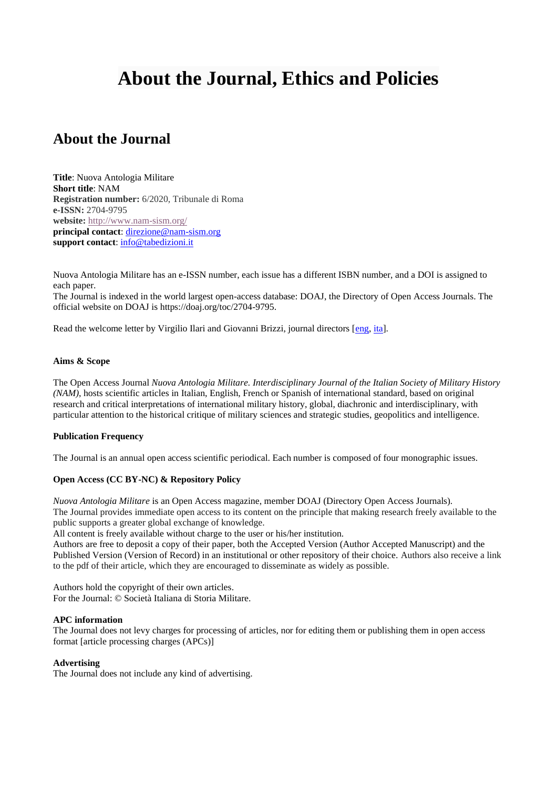# **About the Journal, Ethics and Policies**

# **About the Journal**

**Title**: Nuova Antologia Militare **Short title**: NAM **Registration number:** 6/2020, Tribunale di Roma **e-ISSN:** 2704-9795 **website:** <http://www.nam-sism.org/> **principal contact**: [direzione@nam-sism.org](mailto:direzione@nam-sism.org) **support contact**: [info@tabedizioni.it](mailto:info@tabedizioni.it)

Nuova Antologia Militare has an e-ISSN number, each issue has a different ISBN number, and a DOI is assigned to each paper.

The Journal is indexed in the world largest open-access database: DOAJ, the Directory of Open Access Journals. The official website on DOAJ is https://doaj.org/toc/2704-9795.

Read the welcome letter by Virgilio Ilari and Giovanni Brizzi, journal directors [\[eng,](https://www.tabedizioni.it/web/content/166376) [ita\]](https://www.tabedizioni.it/web/content/166377).

# **Aims & Scope**

The Open Access Journal *Nuova Antologia Militare. Interdisciplinary Journal of the Italian Society of Military History (NAM)*, hosts scientific articles in Italian, English, French or Spanish of international standard, based on original research and critical interpretations of international military history, global, diachronic and interdisciplinary, with particular attention to the historical critique of military sciences and strategic studies, geopolitics and intelligence.

#### **Publication Frequency**

The Journal is an annual open access scientific periodical. Each number is composed of four monographic issues.

# **Open Access (CC BY-NC) & Repository Policy**

*Nuova Antologia Militare* is an Open Access magazine, member DOAJ (Directory Open Access Journals). The Journal provides immediate open access to its content on the principle that making research freely available to the public supports a greater global exchange of knowledge.

All content is freely available without charge to the user or his/her institution.

Authors are free to deposit a copy of their paper, both the Accepted Version (Author Accepted Manuscript) and the Published Version (Version of Record) in an institutional or other repository of their choice. Authors also receive a link to the pdf of their article, which they are encouraged to disseminate as widely as possible.

Authors hold the copyright of their own articles. For the Journal: © Società Italiana di Storia Militare.

#### **APC information**

The Journal does not levy charges for processing of articles, nor for editing them or publishing them in open access format [article processing charges (APCs)]

# **Advertising**

The Journal does not include any kind of advertising.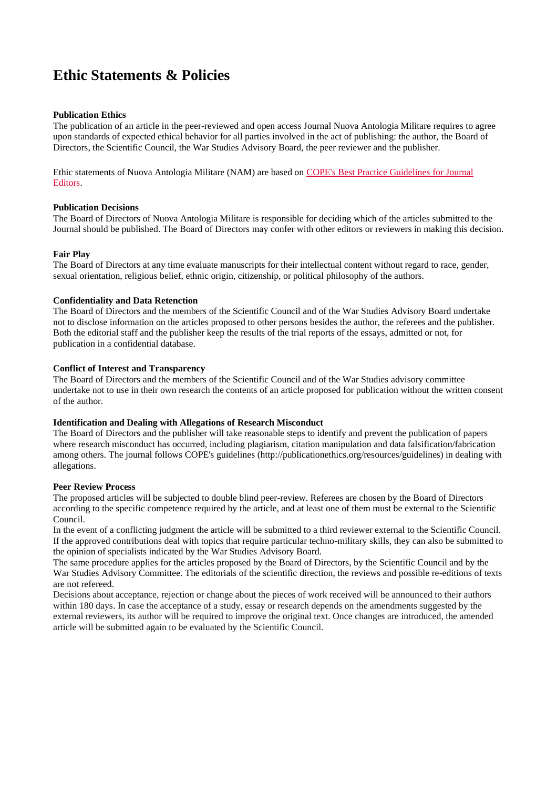# **Ethic Statements & Policies**

# **Publication Ethics**

The publication of an article in the peer-reviewed and open access Journal Nuova Antologia Militare requires to agree upon standards of expected ethical behavior for all parties involved in the act of publishing: the author, the Board of Directors, the Scientific Council, the War Studies Advisory Board, the peer reviewer and the publisher.

Ethic statements of Nuova Antologia Militare (NAM) are based on [COPE's Best Practice Guidelines](http://publicationethics.org/resources/guidelines) for Journal [Editors.](http://publicationethics.org/resources/guidelines)

# **Publication Decisions**

The Board of Directors of Nuova Antologia Militare is responsible for deciding which of the articles submitted to the Journal should be published. The Board of Directors may confer with other editors or reviewers in making this decision.

# **Fair Play**

The Board of Directors at any time evaluate manuscripts for their intellectual content without regard to race, gender, sexual orientation, religious belief, ethnic origin, citizenship, or political philosophy of the authors.

# **Confidentiality and Data Retenction**

The Board of Directors and the members of the Scientific Council and of the War Studies Advisory Board undertake not to disclose information on the articles proposed to other persons besides the author, the referees and the publisher. Both the editorial staff and the publisher keep the results of the trial reports of the essays, admitted or not, for publication in a confidential database.

# **Conflict of Interest and Transparency**

The Board of Directors and the members of the Scientific Council and of the War Studies advisory committee undertake not to use in their own research the contents of an article proposed for publication without the written consent of the author.

#### **Identification and Dealing with Allegations of Research Misconduct**

The Board of Directors and the publisher will take reasonable steps to identify and prevent the publication of papers where research misconduct has occurred, including plagiarism, citation manipulation and data falsification/fabrication among others. The journal follows COPE's guidelines (http://publicationethics.org/resources/guidelines) in dealing with allegations.

#### **Peer Review Process**

The proposed articles will be subjected to double blind peer-review. Referees are chosen by the Board of Directors according to the specific competence required by the article, and at least one of them must be external to the Scientific Council.

In the event of a conflicting judgment the article will be submitted to a third reviewer external to the Scientific Council. If the approved contributions deal with topics that require particular techno-military skills, they can also be submitted to the opinion of specialists indicated by the War Studies Advisory Board.

The same procedure applies for the articles proposed by the Board of Directors, by the Scientific Council and by the War Studies Advisory Committee. The editorials of the scientific direction, the reviews and possible re-editions of texts are not refereed.

Decisions about acceptance, rejection or change about the pieces of work received will be announced to their authors within 180 days. In case the acceptance of a study, essay or research depends on the amendments suggested by the external reviewers, its author will be required to improve the original text. Once changes are introduced, the amended article will be submitted again to be evaluated by the Scientific Council.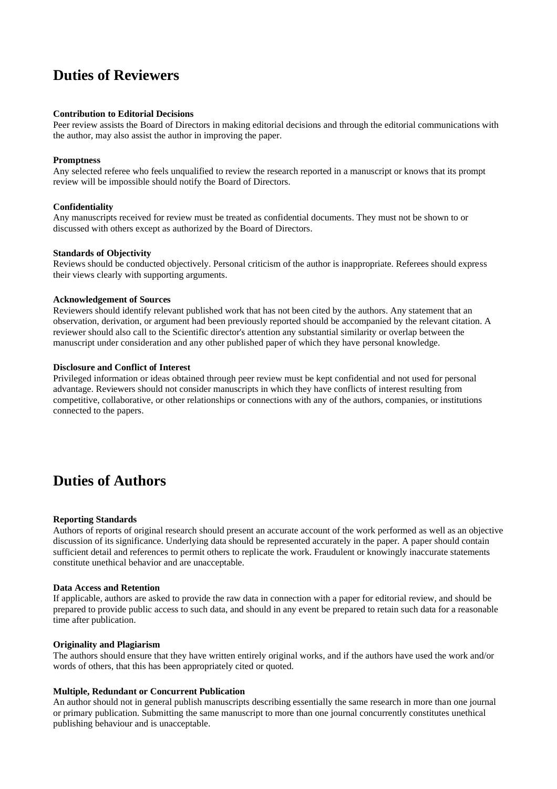# **Duties of Reviewers**

# **Contribution to Editorial Decisions**

Peer review assists the Board of Directors in making editorial decisions and through the editorial communications with the author, may also assist the author in improving the paper.

### **Promptness**

Any selected referee who feels unqualified to review the research reported in a manuscript or knows that its prompt review will be impossible should notify the Board of Directors.

# **Confidentiality**

Any manuscripts received for review must be treated as confidential documents. They must not be shown to or discussed with others except as authorized by the Board of Directors.

# **Standards of Objectivity**

Reviews should be conducted objectively. Personal criticism of the author is inappropriate. Referees should express their views clearly with supporting arguments.

#### **Acknowledgement of Sources**

Reviewers should identify relevant published work that has not been cited by the authors. Any statement that an observation, derivation, or argument had been previously reported should be accompanied by the relevant citation. A reviewer should also call to the Scientific director's attention any substantial similarity or overlap between the manuscript under consideration and any other published paper of which they have personal knowledge.

# **Disclosure and Conflict of Interest**

Privileged information or ideas obtained through peer review must be kept confidential and not used for personal advantage. Reviewers should not consider manuscripts in which they have conflicts of interest resulting from competitive, collaborative, or other relationships or connections with any of the authors, companies, or institutions connected to the papers.

# **Duties of Authors**

#### **Reporting Standards**

Authors of reports of original research should present an accurate account of the work performed as well as an objective discussion of its significance. Underlying data should be represented accurately in the paper. A paper should contain sufficient detail and references to permit others to replicate the work. Fraudulent or knowingly inaccurate statements constitute unethical behavior and are unacceptable.

#### **Data Access and Retention**

If applicable, authors are asked to provide the raw data in connection with a paper for editorial review, and should be prepared to provide public access to such data, and should in any event be prepared to retain such data for a reasonable time after publication.

#### **Originality and Plagiarism**

The authors should ensure that they have written entirely original works, and if the authors have used the work and/or words of others, that this has been appropriately cited or quoted.

# **Multiple, Redundant or Concurrent Publication**

An author should not in general publish manuscripts describing essentially the same research in more than one journal or primary publication. Submitting the same manuscript to more than one journal concurrently constitutes unethical publishing behaviour and is unacceptable.